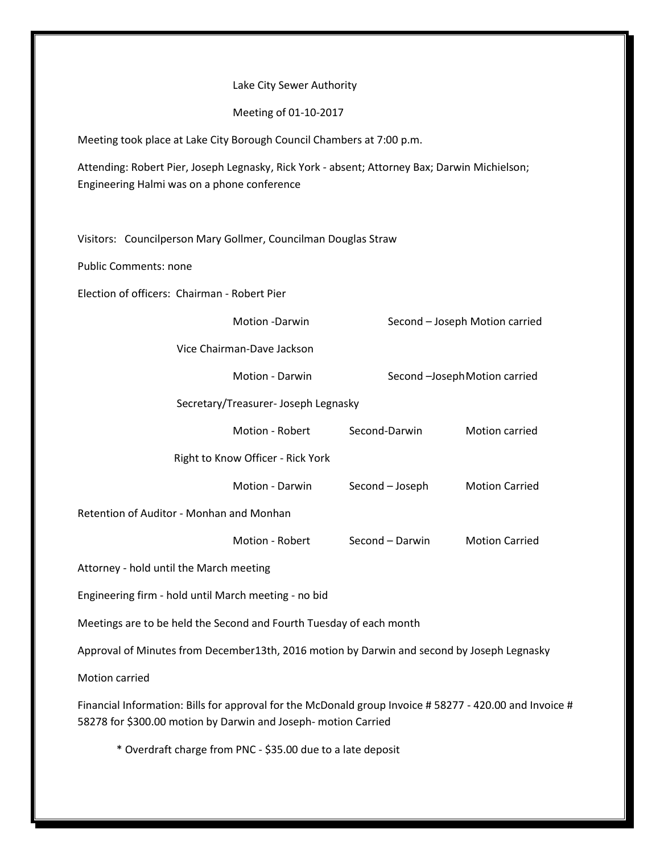## Lake City Sewer Authority

Meeting of 01-10-2017

Meeting took place at Lake City Borough Council Chambers at 7:00 p.m.

Attending: Robert Pier, Joseph Legnasky, Rick York - absent; Attorney Bax; Darwin Michielson; Engineering Halmi was on a phone conference

Visitors: Councilperson Mary Gollmer, Councilman Douglas Straw

Public Comments: none

Election of officers: Chairman - Robert Pier

|                                                                                                                                                                          | <b>Motion -Darwin</b>      |                               | Second - Joseph Motion carried |  |
|--------------------------------------------------------------------------------------------------------------------------------------------------------------------------|----------------------------|-------------------------------|--------------------------------|--|
|                                                                                                                                                                          | Vice Chairman-Dave Jackson |                               |                                |  |
|                                                                                                                                                                          | Motion - Darwin            | Second -Joseph Motion carried |                                |  |
| Secretary/Treasurer-Joseph Legnasky                                                                                                                                      |                            |                               |                                |  |
|                                                                                                                                                                          | Motion - Robert            | Second-Darwin                 | Motion carried                 |  |
| Right to Know Officer - Rick York                                                                                                                                        |                            |                               |                                |  |
|                                                                                                                                                                          | Motion - Darwin            | Second - Joseph               | <b>Motion Carried</b>          |  |
| Retention of Auditor - Monhan and Monhan                                                                                                                                 |                            |                               |                                |  |
|                                                                                                                                                                          | Motion - Robert            | Second - Darwin               | <b>Motion Carried</b>          |  |
| Attorney - hold until the March meeting                                                                                                                                  |                            |                               |                                |  |
| Engineering firm - hold until March meeting - no bid                                                                                                                     |                            |                               |                                |  |
| Meetings are to be held the Second and Fourth Tuesday of each month                                                                                                      |                            |                               |                                |  |
| Approval of Minutes from December13th, 2016 motion by Darwin and second by Joseph Legnasky                                                                               |                            |                               |                                |  |
| Motion carried                                                                                                                                                           |                            |                               |                                |  |
| Financial Information: Bills for approval for the McDonald group Invoice #58277 - 420.00 and Invoice #<br>58278 for \$300.00 motion by Darwin and Joseph- motion Carried |                            |                               |                                |  |

\* Overdraft charge from PNC - \$35.00 due to a late deposit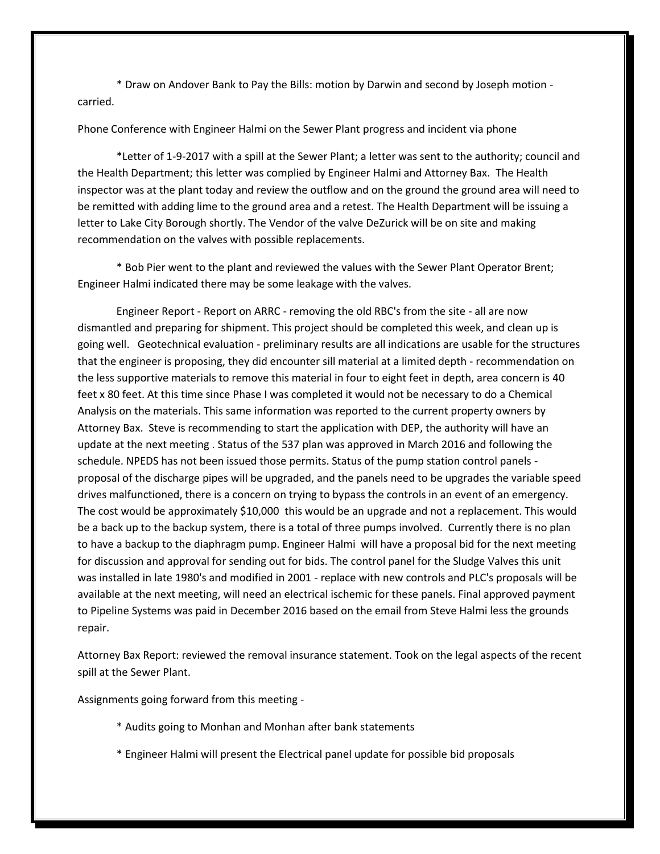\* Draw on Andover Bank to Pay the Bills: motion by Darwin and second by Joseph motion carried.

Phone Conference with Engineer Halmi on the Sewer Plant progress and incident via phone

\*Letter of 1-9-2017 with a spill at the Sewer Plant; a letter was sent to the authority; council and the Health Department; this letter was complied by Engineer Halmi and Attorney Bax. The Health inspector was at the plant today and review the outflow and on the ground the ground area will need to be remitted with adding lime to the ground area and a retest. The Health Department will be issuing a letter to Lake City Borough shortly. The Vendor of the valve DeZurick will be on site and making recommendation on the valves with possible replacements.

\* Bob Pier went to the plant and reviewed the values with the Sewer Plant Operator Brent; Engineer Halmi indicated there may be some leakage with the valves.

Engineer Report - Report on ARRC - removing the old RBC's from the site - all are now dismantled and preparing for shipment. This project should be completed this week, and clean up is going well. Geotechnical evaluation - preliminary results are all indications are usable for the structures that the engineer is proposing, they did encounter sill material at a limited depth - recommendation on the less supportive materials to remove this material in four to eight feet in depth, area concern is 40 feet x 80 feet. At this time since Phase I was completed it would not be necessary to do a Chemical Analysis on the materials. This same information was reported to the current property owners by Attorney Bax. Steve is recommending to start the application with DEP, the authority will have an update at the next meeting . Status of the 537 plan was approved in March 2016 and following the schedule. NPEDS has not been issued those permits. Status of the pump station control panels proposal of the discharge pipes will be upgraded, and the panels need to be upgrades the variable speed drives malfunctioned, there is a concern on trying to bypass the controls in an event of an emergency. The cost would be approximately \$10,000 this would be an upgrade and not a replacement. This would be a back up to the backup system, there is a total of three pumps involved. Currently there is no plan to have a backup to the diaphragm pump. Engineer Halmi will have a proposal bid for the next meeting for discussion and approval for sending out for bids. The control panel for the Sludge Valves this unit was installed in late 1980's and modified in 2001 - replace with new controls and PLC's proposals will be available at the next meeting, will need an electrical ischemic for these panels. Final approved payment to Pipeline Systems was paid in December 2016 based on the email from Steve Halmi less the grounds repair.

Attorney Bax Report: reviewed the removal insurance statement. Took on the legal aspects of the recent spill at the Sewer Plant.

Assignments going forward from this meeting -

- \* Audits going to Monhan and Monhan after bank statements
- \* Engineer Halmi will present the Electrical panel update for possible bid proposals